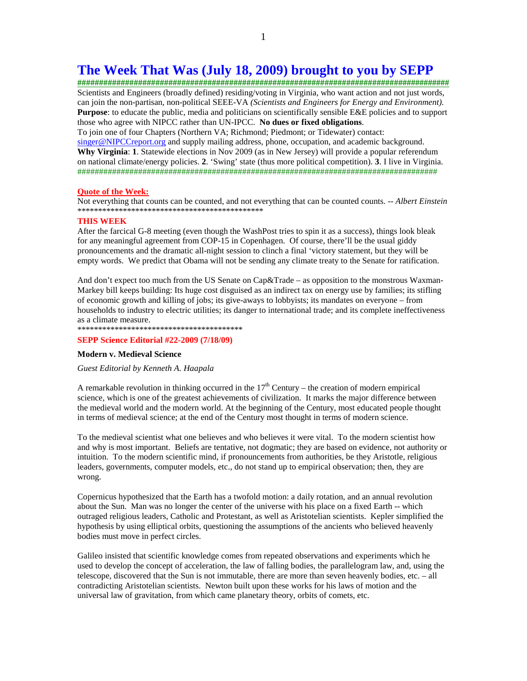# **The Week That Was (July 18, 2009) brought to you by SEPP ######################################################################################**

Scientists and Engineers (broadly defined) residing/voting in Virginia, who want action and not just words, can join the non-partisan, non-political SEEE-VA *(Scientists and Engineers for Energy and Environment).*  **Purpose**: to educate the public, media and politicians on scientifically sensible E&E policies and to support those who agree with NIPCC rather than UN-IPCC. **No dues or fixed obligations**.

To join one of four Chapters (Northern VA; Richmond; Piedmont; or Tidewater) contact:

singer@NIPCCreport.org and supply mailing address, phone, occupation, and academic background. **Why Virginia**: **1**. Statewide elections in Nov 2009 (as in New Jersey) will provide a popular referendum on national climate/energy policies. **2**. 'Swing' state (thus more political competition). **3**. I live in Virginia. ###################################################################################

#### **Quote of the Week:**

Not everything that counts can be counted, and not everything that can be counted counts. -- *Albert Einstein*  \*\*\*\*\*\*\*\*\*\*\*\*\*\*\*\*\*\*\*\*\*\*\*\*\*\*\*\*\*\*\*\*\*\*\*\*\*\*\*\*\*\*\*\*\*

#### **THIS WEEK**

After the farcical G-8 meeting (even though the WashPost tries to spin it as a success), things look bleak for any meaningful agreement from COP-15 in Copenhagen. Of course, there'll be the usual giddy pronouncements and the dramatic all-night session to clinch a final 'victory statement, but they will be empty words. We predict that Obama will not be sending any climate treaty to the Senate for ratification.

And don't expect too much from the US Senate on Cap&Trade – as opposition to the monstrous Waxman-Markey bill keeps building: Its huge cost disguised as an indirect tax on energy use by families; its stifling of economic growth and killing of jobs; its give-aways to lobbyists; its mandates on everyone – from households to industry to electric utilities; its danger to international trade; and its complete ineffectiveness as a climate measure.

\*\*\*\*\*\*\*\*\*\*\*\*\*\*\*\*\*\*\*\*\*\*\*\*\*\*\*\*\*\*\*\*\*\*\*\*\*\*\*\*

#### **SEPP Science Editorial #22-2009 (7/18/09)**

#### **Modern v. Medieval Science**

#### *Guest Editorial by Kenneth A. Haapala*

A remarkable revolution in thinking occurred in the  $17<sup>th</sup>$  Century – the creation of modern empirical science, which is one of the greatest achievements of civilization. It marks the major difference between the medieval world and the modern world. At the beginning of the Century, most educated people thought in terms of medieval science; at the end of the Century most thought in terms of modern science.

To the medieval scientist what one believes and who believes it were vital. To the modern scientist how and why is most important. Beliefs are tentative, not dogmatic; they are based on evidence, not authority or intuition. To the modern scientific mind, if pronouncements from authorities, be they Aristotle, religious leaders, governments, computer models, etc., do not stand up to empirical observation; then, they are wrong.

Copernicus hypothesized that the Earth has a twofold motion: a daily rotation, and an annual revolution about the Sun. Man was no longer the center of the universe with his place on a fixed Earth -- which outraged religious leaders, Catholic and Protestant, as well as Aristotelian scientists. Kepler simplified the hypothesis by using elliptical orbits, questioning the assumptions of the ancients who believed heavenly bodies must move in perfect circles.

Galileo insisted that scientific knowledge comes from repeated observations and experiments which he used to develop the concept of acceleration, the law of falling bodies, the parallelogram law, and, using the telescope, discovered that the Sun is not immutable, there are more than seven heavenly bodies, etc. – all contradicting Aristotelian scientists. Newton built upon these works for his laws of motion and the universal law of gravitation, from which came planetary theory, orbits of comets, etc.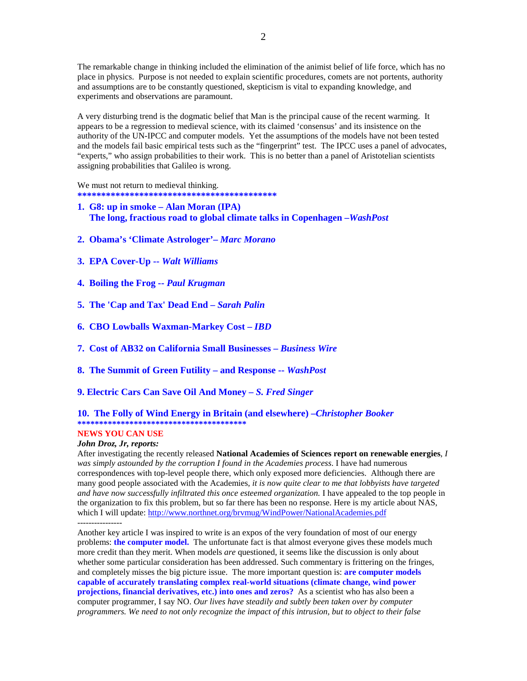The remarkable change in thinking included the elimination of the animist belief of life force, which has no place in physics. Purpose is not needed to explain scientific procedures, comets are not portents, authority and assumptions are to be constantly questioned, skepticism is vital to expanding knowledge, and experiments and observations are paramount.

A very disturbing trend is the dogmatic belief that Man is the principal cause of the recent warming. It appears to be a regression to medieval science, with its claimed 'consensus' and its insistence on the authority of the UN-IPCC and computer models. Yet the assumptions of the models have not been tested and the models fail basic empirical tests such as the "fingerprint" test. The IPCC uses a panel of advocates, "experts," who assign probabilities to their work. This is no better than a panel of Aristotelian scientists assigning probabilities that Galileo is wrong.

We must not return to medieval thinking. **\*\*\*\*\*\*\*\*\*\*\*\*\*\*\*\*\*\*\*\*\*\*\*\*\*\*\*\*\*\*\*\*\*\*\*\*\*\*\*\*\*\*** 

- **1. G8: up in smoke Alan Moran (IPA) The long, fractious road to global climate talks in Copenhagen –***WashPost*
- **2. Obama's 'Climate Astrologer'–** *Marc Morano*
- **3. EPA Cover-Up --** *Walt Williams*
- **4. Boiling the Frog --** *Paul Krugman*
- **5. The 'Cap and Tax' Dead End** *Sarah Palin*
- **6. CBO Lowballs Waxman-Markey Cost** *IBD*
- **7. Cost of AB32 on California Small Businesses** *Business Wire*
- **8. The Summit of Green Futility and Response --** *WashPost*
- **9. Electric Cars Can Save Oil And Money** *S. Fred Singer*

#### **10. The Folly of Wind Energy in Britain (and elsewhere) –***Christopher Booker* **\*\*\*\*\*\*\*\*\*\*\*\*\*\*\*\*\*\*\*\*\*\*\*\*\*\*\*\*\*\*\*\*\*\*\*\*\*\*\***

#### **NEWS YOU CAN USE**

#### *John Droz, Jr, reports:*

After investigating the recently released **National Academies of Sciences report on renewable energies**, *I was simply astounded by the corruption I found in the Academies process*. I have had numerous correspondences with top-level people there, which only exposed more deficiencies. Although there are many good people associated with the Academies*, it is now quite clear to me that lobbyists have targeted and have now successfully infiltrated this once esteemed organization.* I have appealed to the top people in the organization to fix this problem, but so far there has been no response. Here is my article about NAS, which I will update: http://www.northnet.org/brvmug/WindPower/NationalAcademies.pdf ----------------

Another key article I was inspired to write is an expos of the very foundation of most of our energy problems: **the computer model.** The unfortunate fact is that almost everyone gives these models much more credit than they merit. When models *are* questioned, it seems like the discussion is only about whether some particular consideration has been addressed. Such commentary is frittering on the fringes, and completely misses the big picture issue. The more important question is: **are computer models capable of accurately translating complex real-world situations (climate change, wind power projections, financial derivatives, etc.) into ones and zeros?** As a scientist who has also been a computer programmer, I say NO. *Our lives have steadily and subtly been taken over by computer programmers. We need to not only recognize the impact of this intrusion, but to object to their false*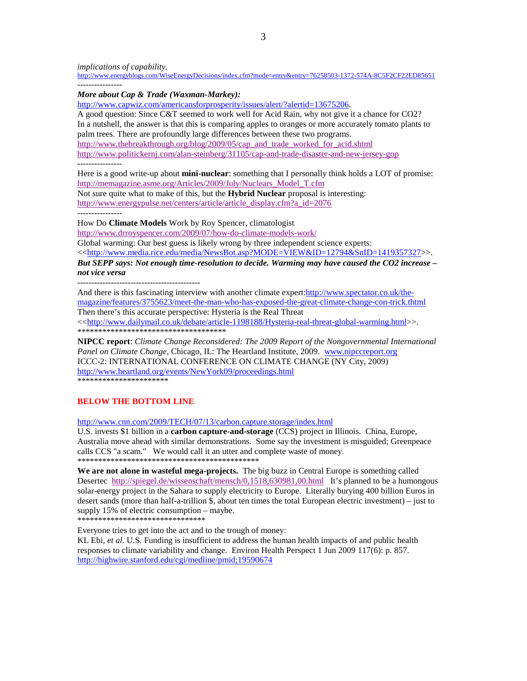*implications of capability.* 

http://www.energyblogs.com/WiseEnergyDecisions/index.cfm?mode=entry&entry=76258503-1372-574A-8C5F2CF22ED85651 ----------------

*More about Cap & Trade (Waxman-Markey):* 

http://www.capwiz.com/americansforprosperity/issues/alert/?alertid=13675206.

A good question: Since C&T seemed to work well for Acid Rain, why not give it a chance for CO2? In a nutshell, the answer is that this is comparing apples to oranges or more accurately tomato plants to palm trees. There are profoundly large differences between these two programs. http://www.thebreakthrough.org/blog/2009/05/cap\_and\_trade\_worked\_for\_acid.shtml http://www.politickernj.com/alan-steinberg/31105/cap-and-trade-disaster-and-new-jersey-gop ----------------

Here is a good write-up about **mini-nuclear**: something that I personally think holds a LOT of promise: http://memagazine.asme.org/Articles/2009/July/Nuclears\_Model\_T.cfm

Not sure quite what to make of this, but the **Hybrid Nuclear** proposal is interesting: http://www.energypulse.net/centers/article/article\_display.cfm?a\_id=2076

----------------

How Do **Climate Models** Work by Roy Spencer, climatologist

http://www.drroyspencer.com/2009/07/how-do-climate-models-work/

Global warming: Our best guess is likely wrong by three independent science experts: <<http://www.media.rice.edu/media/NewsBot.asp?MODE=VIEW&ID=12794&SnID=1419357327>>. *But SEPP says: Not enough time-resolution to decide. Warming may have caused the CO2 increase –* 

*not vice versa*  --------------------------------------------

And there is this fascinating interview with another climate expert:http://www.spectator.co.uk/themagazine/features/3755623/meet-the-man-who-has-exposed-the-great-climate-change-con-trick.thtml Then there's this accurate perspective: Hysteria is the Real Threat <<http://www.dailymail.co.uk/debate/article-1198188/Hysteria-real-threat-global-warming.html>>. \*\*\*\*\*\*\*\*\*\*\*\*\*\*\*\*\*\*\*\*\*\*\*\*\*\*\*\*\*\*\*\*\*\*\*\*

**NIPCC report**: *Climate Change Reconsidered: The 2009 Report of the Nongovernmental International Panel on Climate Change,* Chicago, IL: The Heartland Institute, 2009. www.nipccreport.org ICCC-2: INTERNATIONAL CONFERENCE ON CLIMATE CHANGE (NY City, 2009) http://www.heartland.org/events/NewYork09/proceedings.html \*\*\*\*\*\*\*\*\*\*\*\*\*\*\*\*\*\*\*\*\*\*

**BELOW THE BOTTOM LINE** 

http://www.cnn.com/2009/TECH/07/13/carbon.capture.storage/index.html

U.S. invests \$1 billion in a **carbon capture-and-storage** (CCS) project in Illinois. China, Europe, Australia move ahead with similar demonstrations. Some say the investment is misguided; Greenpeace calls CCS "a scam." We would call it an utter and complete waste of money. \*\*\*\*\*\*\*\*\*\*\*\*\*\*\*\*\*\*\*\*\*\*\*\*\*\*\*\*\*\*\*\*\*\*\*\*\*\*\*\*\*\*\*\*

**We are not alone in wasteful mega-projects.** The big buzz in Central Europe is something called Desertec http://spiegel.de/wissenschaft/mensch/0,1518,630981,00.html It's planned to be a humongous solar-energy project in the Sahara to supply electricity to Europe. Literally burying 400 billion Euros in desert sands (more than half-a-trillion \$, about ten times the total European electric investment) – just to supply 15% of electric consumption – maybe.

\*\*\*\*\*\*\*\*\*\*\*\*\*\*\*\*\*\*\*\*\*\*\*\*\*\*\*\*\*\*\*

Everyone tries to get into the act and to the trough of money:

KL Ebi, *et al*. U.S. Funding is insufficient to address the human health impacts of and public health responses to climate variability and change. Environ Health Perspect 1 Jun 2009 117(6): p. 857. http://highwire.stanford.edu/cgi/medline/pmid;19590674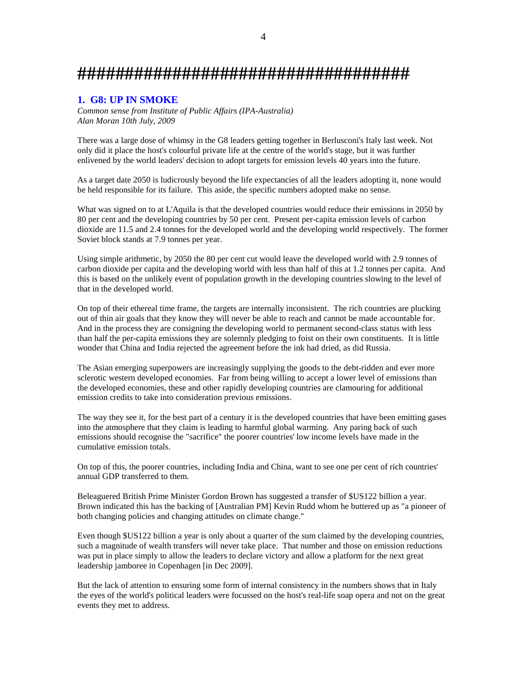# **###################################**

## **1. G8: UP IN SMOKE**

*Common sense from Institute of Public Affairs (IPA-Australia) Alan Moran 10th July, 2009* 

There was a large dose of whimsy in the G8 leaders getting together in Berlusconi's Italy last week. Not only did it place the host's colourful private life at the centre of the world's stage, but it was further enlivened by the world leaders' decision to adopt targets for emission levels 40 years into the future.

As a target date 2050 is ludicrously beyond the life expectancies of all the leaders adopting it, none would be held responsible for its failure. This aside, the specific numbers adopted make no sense.

What was signed on to at L'Aquila is that the developed countries would reduce their emissions in 2050 by 80 per cent and the developing countries by 50 per cent. Present per-capita emission levels of carbon dioxide are 11.5 and 2.4 tonnes for the developed world and the developing world respectively. The former Soviet block stands at 7.9 tonnes per year.

Using simple arithmetic, by 2050 the 80 per cent cut would leave the developed world with 2.9 tonnes of carbon dioxide per capita and the developing world with less than half of this at 1.2 tonnes per capita. And this is based on the unlikely event of population growth in the developing countries slowing to the level of that in the developed world.

On top of their ethereal time frame, the targets are internally inconsistent. The rich countries are plucking out of thin air goals that they know they will never be able to reach and cannot be made accountable for. And in the process they are consigning the developing world to permanent second-class status with less than half the per-capita emissions they are solemnly pledging to foist on their own constituents. It is little wonder that China and India rejected the agreement before the ink had dried, as did Russia.

The Asian emerging superpowers are increasingly supplying the goods to the debt-ridden and ever more sclerotic western developed economies. Far from being willing to accept a lower level of emissions than the developed economies, these and other rapidly developing countries are clamouring for additional emission credits to take into consideration previous emissions.

The way they see it, for the best part of a century it is the developed countries that have been emitting gases into the atmosphere that they claim is leading to harmful global warming. Any paring back of such emissions should recognise the "sacrifice" the poorer countries' low income levels have made in the cumulative emission totals.

On top of this, the poorer countries, including India and China, want to see one per cent of rich countries' annual GDP transferred to them.

Beleaguered British Prime Minister Gordon Brown has suggested a transfer of \$US122 billion a year. Brown indicated this has the backing of [Australian PM] Kevin Rudd whom he buttered up as "a pioneer of both changing policies and changing attitudes on climate change."

Even though \$US122 billion a year is only about a quarter of the sum claimed by the developing countries, such a magnitude of wealth transfers will never take place. That number and those on emission reductions was put in place simply to allow the leaders to declare victory and allow a platform for the next great leadership jamboree in Copenhagen [in Dec 2009].

But the lack of attention to ensuring some form of internal consistency in the numbers shows that in Italy the eyes of the world's political leaders were focussed on the host's real-life soap opera and not on the great events they met to address.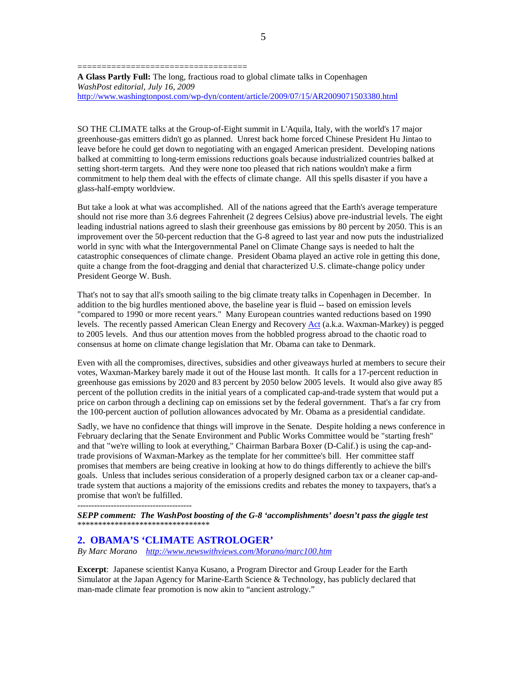===================================

**A Glass Partly Full:** The long, fractious road to global climate talks in Copenhagen *WashPost editorial, July 16, 2009*  http://www.washingtonpost.com/wp-dyn/content/article/2009/07/15/AR2009071503380.html

SO THE CLIMATE talks at the Group-of-Eight summit in L'Aquila, Italy, with the world's 17 major greenhouse-gas emitters didn't go as planned. Unrest back home forced Chinese President Hu Jintao to leave before he could get down to negotiating with an engaged American president. Developing nations balked at committing to long-term emissions reductions goals because industrialized countries balked at setting short-term targets. And they were none too pleased that rich nations wouldn't make a firm commitment to help them deal with the effects of climate change. All this spells disaster if you have a glass-half-empty worldview.

But take a look at what was accomplished. All of the nations agreed that the Earth's average temperature should not rise more than 3.6 degrees Fahrenheit (2 degrees Celsius) above pre-industrial levels. The eight leading industrial nations agreed to slash their greenhouse gas emissions by 80 percent by 2050. This is an improvement over the 50-percent reduction that the G-8 agreed to last year and now puts the industrialized world in sync with what the Intergovernmental Panel on Climate Change says is needed to halt the catastrophic consequences of climate change. President Obama played an active role in getting this done, quite a change from the foot-dragging and denial that characterized U.S. climate-change policy under President George W. Bush.

That's not to say that all's smooth sailing to the big climate treaty talks in Copenhagen in December. In addition to the big hurdles mentioned above, the baseline year is fluid -- based on emission levels "compared to 1990 or more recent years." Many European countries wanted reductions based on 1990 levels. The recently passed American Clean Energy and Recovery Act (a.k.a. Waxman-Markey) is pegged to 2005 levels. And thus our attention moves from the hobbled progress abroad to the chaotic road to consensus at home on climate change legislation that Mr. Obama can take to Denmark.

Even with all the compromises, directives, subsidies and other giveaways hurled at members to secure their votes, Waxman-Markey barely made it out of the House last month. It calls for a 17-percent reduction in greenhouse gas emissions by 2020 and 83 percent by 2050 below 2005 levels. It would also give away 85 percent of the pollution credits in the initial years of a complicated cap-and-trade system that would put a price on carbon through a declining cap on emissions set by the federal government. That's a far cry from the 100-percent auction of pollution allowances advocated by Mr. Obama as a presidential candidate.

Sadly, we have no confidence that things will improve in the Senate. Despite holding a news conference in February declaring that the Senate Environment and Public Works Committee would be "starting fresh" and that "we're willing to look at everything," Chairman Barbara Boxer (D-Calif.) is using the cap-andtrade provisions of Waxman-Markey as the template for her committee's bill. Her committee staff promises that members are being creative in looking at how to do things differently to achieve the bill's goals. Unless that includes serious consideration of a properly designed carbon tax or a cleaner cap-andtrade system that auctions a majority of the emissions credits and rebates the money to taxpayers, that's a promise that won't be fulfilled.

-----------------------------------------

*SEPP comment: The WashPost boosting of the G-8 'accomplishments' doesn't pass the giggle test*  \*\*\*\*\*\*\*\*\*\*\*\*\*\*\*\*\*\*\*\*\*\*\*\*\*\*\*\*\*\*\*\*

## **2. OBAMA'S 'CLIMATE ASTROLOGER'**

*By Marc Morano http://www.newswithviews.com/Morano/marc100.htm* 

**Excerpt**: Japanese scientist Kanya Kusano, a Program Director and Group Leader for the Earth Simulator at the Japan Agency for Marine-Earth Science & Technology, has publicly declared that man-made climate fear promotion is now akin to "ancient astrology."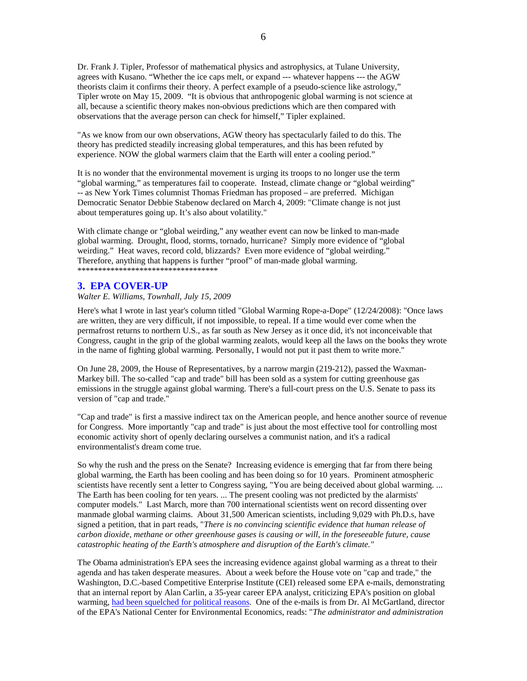Dr. Frank J. Tipler, Professor of mathematical physics and astrophysics, at Tulane University, agrees with Kusano. "Whether the ice caps melt, or expand --- whatever happens --- the AGW theorists claim it confirms their theory. A perfect example of a pseudo-science like astrology," Tipler wrote on May 15, 2009. "It is obvious that anthropogenic global warming is not science at all, because a scientific theory makes non-obvious predictions which are then compared with observations that the average person can check for himself," Tipler explained.

"As we know from our own observations, AGW theory has spectacularly failed to do this. The theory has predicted steadily increasing global temperatures, and this has been refuted by experience. NOW the global warmers claim that the Earth will enter a cooling period."

It is no wonder that the environmental movement is urging its troops to no longer use the term "global warming," as temperatures fail to cooperate. Instead, climate change or "global weirding" -- as New York Times columnist Thomas Friedman has proposed – are preferred. Michigan Democratic Senator Debbie Stabenow declared on March 4, 2009: "Climate change is not just about temperatures going up. It's also about volatility."

With climate change or "global weirding," any weather event can now be linked to man-made global warming. Drought, flood, storms, tornado, hurricane? Simply more evidence of "global weirding." Heat waves, record cold, blizzards? Even more evidence of "global weirding." Therefore, anything that happens is further "proof" of man-made global warming. \*\*\*\*\*\*\*\*\*\*\*\*\*\*\*\*\*\*\*\*\*\*\*\*\*\*\*\*\*\*\*\*\*\*

#### **3. EPA COVER-UP**

*Walter E. Williams, Townhall, July 15, 2009* 

Here's what I wrote in last year's column titled "Global Warming Rope-a-Dope" (12/24/2008): "Once laws are written, they are very difficult, if not impossible, to repeal. If a time would ever come when the permafrost returns to northern U.S., as far south as New Jersey as it once did, it's not inconceivable that Congress, caught in the grip of the global warming zealots, would keep all the laws on the books they wrote in the name of fighting global warming. Personally, I would not put it past them to write more."

On June 28, 2009, the House of Representatives, by a narrow margin (219-212), passed the Waxman-Markey bill. The so-called "cap and trade" bill has been sold as a system for cutting greenhouse gas emissions in the struggle against global warming. There's a full-court press on the U.S. Senate to pass its version of "cap and trade."

"Cap and trade" is first a massive indirect tax on the American people, and hence another source of revenue for Congress. More importantly "cap and trade" is just about the most effective tool for controlling most economic activity short of openly declaring ourselves a communist nation, and it's a radical environmentalist's dream come true.

So why the rush and the press on the Senate? Increasing evidence is emerging that far from there being global warming, the Earth has been cooling and has been doing so for 10 years. Prominent atmospheric scientists have recently sent a letter to Congress saying, "You are being deceived about global warming. ... The Earth has been cooling for ten years. ... The present cooling was not predicted by the alarmists' computer models." Last March, more than 700 international scientists went on record dissenting over manmade global warming claims. About 31,500 American scientists, including 9,029 with Ph.D.s, have signed a petition, that in part reads, "*There is no convincing scientific evidence that human release of carbon dioxide, methane or other greenhouse gases is causing or will, in the foreseeable future, cause catastrophic heating of the Earth's atmosphere and disruption of the Earth's climate."* 

The Obama administration's EPA sees the increasing evidence against global warming as a threat to their agenda and has taken desperate measures. About a week before the House vote on "cap and trade," the Washington, D.C.-based Competitive Enterprise Institute (CEI) released some EPA e-mails, demonstrating that an internal report by Alan Carlin, a 35-year career EPA analyst, criticizing EPA's position on global warming, had been squelched for political reasons. One of the e-mails is from Dr. Al McGartland, director of the EPA's National Center for Environmental Economics, reads: "*The administrator and administration*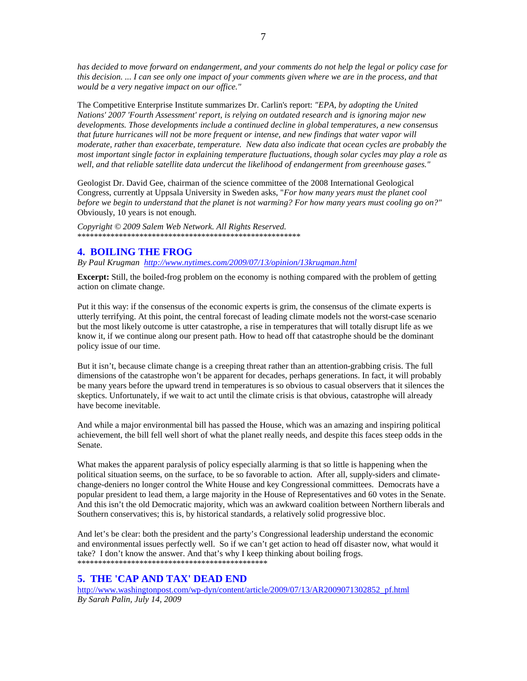*has decided to move forward on endangerment, and your comments do not help the legal or policy case for this decision. ... I can see only one impact of your comments given where we are in the process, and that would be a very negative impact on our office."* 

The Competitive Enterprise Institute summarizes Dr. Carlin's report: *"EPA, by adopting the United Nations' 2007 'Fourth Assessment' report, is relying on outdated research and is ignoring major new developments. Those developments include a continued decline in global temperatures, a new consensus that future hurricanes will not be more frequent or intense, and new findings that water vapor will moderate, rather than exacerbate, temperature. New data also indicate that ocean cycles are probably the most important single factor in explaining temperature fluctuations, though solar cycles may play a role as well, and that reliable satellite data undercut the likelihood of endangerment from greenhouse gases."*

Geologist Dr. David Gee, chairman of the science committee of the 2008 International Geological Congress, currently at Uppsala University in Sweden asks, "*For how many years must the planet cool before we begin to understand that the planet is not warming? For how many years must cooling go on?"* Obviously, 10 years is not enough.

*Copyright © 2009 Salem Web Network. All Rights Reserved.*  \*\*\*\*\*\*\*\*\*\*\*\*\*\*\*\*\*\*\*\*\*\*\*\*\*\*\*\*\*\*\*\*\*\*\*\*\*\*\*\*\*\*\*\*\*\*\*\*\*\*\*\*\*\*

## **4. BOILING THE FROG**

*By Paul Krugman http://www.nytimes.com/2009/07/13/opinion/13krugman.html*

**Excerpt:** Still, the boiled-frog problem on the economy is nothing compared with the problem of getting action on climate change.

Put it this way: if the consensus of the economic experts is grim, the consensus of the climate experts is utterly terrifying. At this point, the central forecast of leading climate models not the worst-case scenario but the most likely outcome is utter catastrophe, a rise in temperatures that will totally disrupt life as we know it, if we continue along our present path. How to head off that catastrophe should be the dominant policy issue of our time.

But it isn't, because climate change is a creeping threat rather than an attention-grabbing crisis. The full dimensions of the catastrophe won't be apparent for decades, perhaps generations. In fact, it will probably be many years before the upward trend in temperatures is so obvious to casual observers that it silences the skeptics. Unfortunately, if we wait to act until the climate crisis is that obvious, catastrophe will already have become inevitable.

And while a major environmental bill has passed the House, which was an amazing and inspiring political achievement, the bill fell well short of what the planet really needs, and despite this faces steep odds in the Senate.

What makes the apparent paralysis of policy especially alarming is that so little is happening when the political situation seems, on the surface, to be so favorable to action. After all, supply-siders and climatechange-deniers no longer control the White House and key Congressional committees. Democrats have a popular president to lead them, a large majority in the House of Representatives and 60 votes in the Senate. And this isn't the old Democratic majority, which was an awkward coalition between Northern liberals and Southern conservatives; this is, by historical standards, a relatively solid progressive bloc.

And let's be clear: both the president and the party's Congressional leadership understand the economic and environmental issues perfectly well. So if we can't get action to head off disaster now, what would it take? I don't know the answer. And that's why I keep thinking about boiling frogs. \*\*\*\*\*\*\*\*\*\*\*\*\*\*\*\*\*\*\*\*\*\*\*\*\*\*\*\*\*\*\*\*\*\*\*\*\*\*\*\*\*\*\*\*\*\*

## **5. THE 'CAP AND TAX' DEAD END**

http://www.washingtonpost.com/wp-dyn/content/article/2009/07/13/AR2009071302852\_pf.html *By Sarah Palin, July 14, 2009*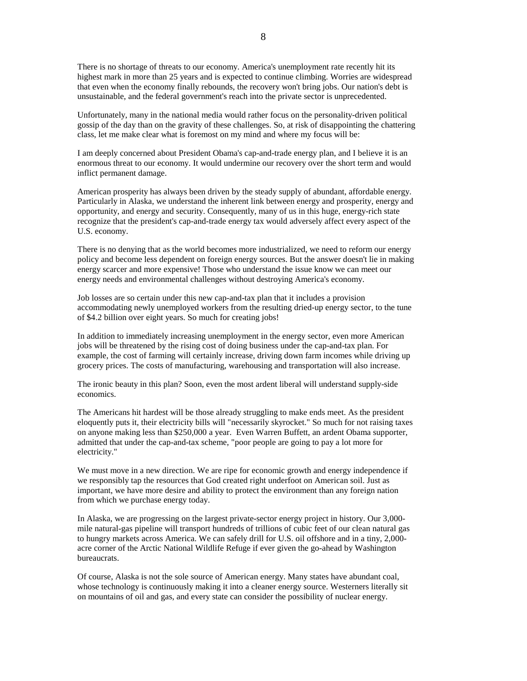There is no shortage of threats to our economy. America's unemployment rate recently hit its highest mark in more than 25 years and is expected to continue climbing. Worries are widespread that even when the economy finally rebounds, the recovery won't bring jobs. Our nation's debt is unsustainable, and the federal government's reach into the private sector is unprecedented.

Unfortunately, many in the national media would rather focus on the personality-driven political gossip of the day than on the gravity of these challenges. So, at risk of disappointing the chattering class, let me make clear what is foremost on my mind and where my focus will be:

I am deeply concerned about President Obama's cap-and-trade energy plan, and I believe it is an enormous threat to our economy. It would undermine our recovery over the short term and would inflict permanent damage.

American prosperity has always been driven by the steady supply of abundant, affordable energy. Particularly in Alaska, we understand the inherent link between energy and prosperity, energy and opportunity, and energy and security. Consequently, many of us in this huge, energy-rich state recognize that the president's cap-and-trade energy tax would adversely affect every aspect of the U.S. economy.

There is no denying that as the world becomes more industrialized, we need to reform our energy policy and become less dependent on foreign energy sources. But the answer doesn't lie in making energy scarcer and more expensive! Those who understand the issue know we can meet our energy needs and environmental challenges without destroying America's economy.

Job losses are so certain under this new cap-and-tax plan that it includes a provision accommodating newly unemployed workers from the resulting dried-up energy sector, to the tune of \$4.2 billion over eight years. So much for creating jobs!

In addition to immediately increasing unemployment in the energy sector, even more American jobs will be threatened by the rising cost of doing business under the cap-and-tax plan. For example, the cost of farming will certainly increase, driving down farm incomes while driving up grocery prices. The costs of manufacturing, warehousing and transportation will also increase.

The ironic beauty in this plan? Soon, even the most ardent liberal will understand supply-side economics.

The Americans hit hardest will be those already struggling to make ends meet. As the president eloquently puts it, their electricity bills will "necessarily skyrocket." So much for not raising taxes on anyone making less than \$250,000 a year. Even Warren Buffett, an ardent Obama supporter, admitted that under the cap-and-tax scheme, "poor people are going to pay a lot more for electricity."

We must move in a new direction. We are ripe for economic growth and energy independence if we responsibly tap the resources that God created right underfoot on American soil. Just as important, we have more desire and ability to protect the environment than any foreign nation from which we purchase energy today.

In Alaska, we are progressing on the largest private-sector energy project in history. Our 3,000 mile natural-gas pipeline will transport hundreds of trillions of cubic feet of our clean natural gas to hungry markets across America. We can safely drill for U.S. oil offshore and in a tiny, 2,000 acre corner of the Arctic National Wildlife Refuge if ever given the go-ahead by Washington bureaucrats.

Of course, Alaska is not the sole source of American energy. Many states have abundant coal, whose technology is continuously making it into a cleaner energy source. Westerners literally sit on mountains of oil and gas, and every state can consider the possibility of nuclear energy.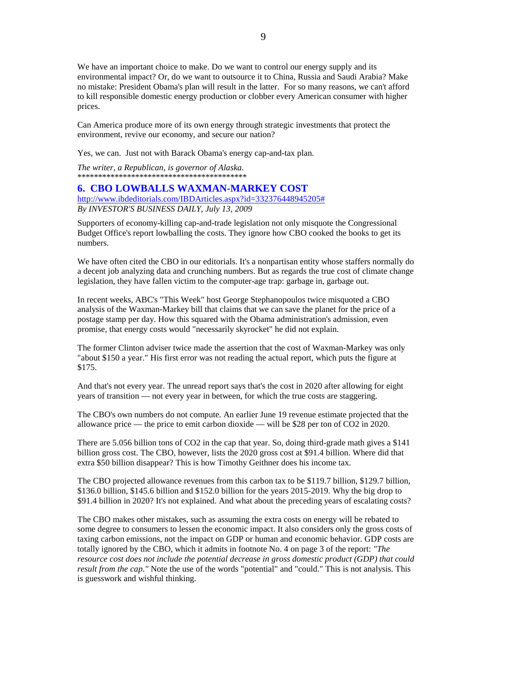We have an important choice to make. Do we want to control our energy supply and its environmental impact? Or, do we want to outsource it to China, Russia and Saudi Arabia? Make no mistake: President Obama's plan will result in the latter. For so many reasons, we can't afford to kill responsible domestic energy production or clobber every American consumer with higher prices.

Can America produce more of its own energy through strategic investments that protect the environment, revive our economy, and secure our nation?

Yes, we can. Just not with Barack Obama's energy cap-and-tax plan.

*The writer, a Republican, is governor of Alaska.*  \*\*\*\*\*\*\*\*\*\*\*\*\*\*\*\*\*\*\*\*\*\*\*\*\*\*\*\*\*\*\*\*\*\*\*\*\*\*\*\*\*

#### **6. CBO LOWBALLS WAXMAN-MARKEY COST**

http://www.ibdeditorials.com/IBDArticles.aspx?id=332376448945205# *By INVESTOR'S BUSINESS DAILY, July 13, 2009* 

Supporters of economy-killing cap-and-trade legislation not only misquote the Congressional Budget Office's report lowballing the costs. They ignore how CBO cooked the books to get its numbers.

We have often cited the CBO in our editorials. It's a nonpartisan entity whose staffers normally do a decent job analyzing data and crunching numbers. But as regards the true cost of climate change legislation, they have fallen victim to the computer-age trap: garbage in, garbage out.

In recent weeks, ABC's "This Week" host George Stephanopoulos twice misquoted a CBO analysis of the Waxman-Markey bill that claims that we can save the planet for the price of a postage stamp per day. How this squared with the Obama administration's admission, even promise, that energy costs would "necessarily skyrocket" he did not explain.

The former Clinton adviser twice made the assertion that the cost of Waxman-Markey was only "about \$150 a year." His first error was not reading the actual report, which puts the figure at \$175.

And that's not every year. The unread report says that's the cost in 2020 after allowing for eight years of transition — not every year in between, for which the true costs are staggering.

The CBO's own numbers do not compute. An earlier June 19 revenue estimate projected that the allowance price — the price to emit carbon dioxide — will be \$28 per ton of CO2 in 2020.

There are 5.056 billion tons of CO2 in the cap that year. So, doing third-grade math gives a \$141 billion gross cost. The CBO, however, lists the 2020 gross cost at \$91.4 billion. Where did that extra \$50 billion disappear? This is how Timothy Geithner does his income tax.

The CBO projected allowance revenues from this carbon tax to be \$119.7 billion, \$129.7 billion, \$136.0 billion, \$145.6 billion and \$152.0 billion for the years 2015-2019. Why the big drop to \$91.4 billion in 2020? It's not explained. And what about the preceding years of escalating costs?

The CBO makes other mistakes, such as assuming the extra costs on energy will be rebated to some degree to consumers to lessen the economic impact. It also considers only the gross costs of taxing carbon emissions, not the impact on GDP or human and economic behavior. GDP costs are totally ignored by the CBO, which it admits in footnote No. 4 on page 3 of the report: *"The resource cost does not include the potential decrease in gross domestic product (GDP) that could result from the cap."* Note the use of the words "potential" and "could." This is not analysis. This is guesswork and wishful thinking.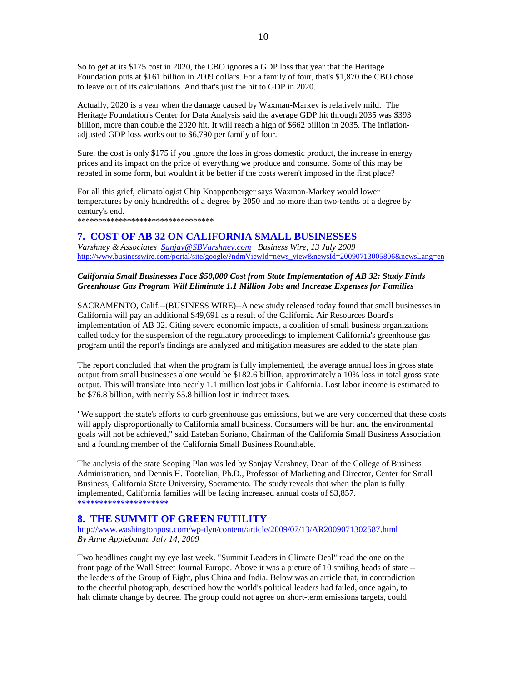So to get at its \$175 cost in 2020, the CBO ignores a GDP loss that year that the Heritage Foundation puts at \$161 billion in 2009 dollars. For a family of four, that's \$1,870 the CBO chose to leave out of its calculations. And that's just the hit to GDP in 2020.

Actually, 2020 is a year when the damage caused by Waxman-Markey is relatively mild. The Heritage Foundation's Center for Data Analysis said the average GDP hit through 2035 was \$393 billion, more than double the 2020 hit. It will reach a high of \$662 billion in 2035. The inflationadjusted GDP loss works out to \$6,790 per family of four.

Sure, the cost is only \$175 if you ignore the loss in gross domestic product, the increase in energy prices and its impact on the price of everything we produce and consume. Some of this may be rebated in some form, but wouldn't it be better if the costs weren't imposed in the first place?

For all this grief, climatologist Chip Knappenberger says Waxman-Markey would lower temperatures by only hundredths of a degree by 2050 and no more than two-tenths of a degree by century's end. \*\*\*\*\*\*\*\*\*\*\*\*\*\*\*\*\*\*\*\*\*\*\*\*\*\*\*\*\*\*\*\*\*

## **7. COST OF AB 32 ON CALIFORNIA SMALL BUSINESSES**

*Varshney & Associates Sanjay@SBVarshney.com Business Wire, 13 July 2009*  http://www.businesswire.com/portal/site/google/?ndmViewId=news\_view&newsId=20090713005806&newsLang=en

#### *California Small Businesses Face \$50,000 Cost from State Implementation of AB 32: Study Finds Greenhouse Gas Program Will Eliminate 1.1 Million Jobs and Increase Expenses for Families*

SACRAMENTO, Calif.--(BUSINESS WIRE)--A new study released today found that small businesses in California will pay an additional \$49,691 as a result of the California Air Resources Board's implementation of AB 32. Citing severe economic impacts, a coalition of small business organizations called today for the suspension of the regulatory proceedings to implement California's greenhouse gas program until the report's findings are analyzed and mitigation measures are added to the state plan.

The report concluded that when the program is fully implemented, the average annual loss in gross state output from small businesses alone would be \$182.6 billion, approximately a 10% loss in total gross state output. This will translate into nearly 1.1 million lost jobs in California. Lost labor income is estimated to be \$76.8 billion, with nearly \$5.8 billion lost in indirect taxes.

"We support the state's efforts to curb greenhouse gas emissions, but we are very concerned that these costs will apply disproportionally to California small business. Consumers will be hurt and the environmental goals will not be achieved," said Esteban Soriano, Chairman of the California Small Business Association and a founding member of the California Small Business Roundtable.

The analysis of the state Scoping Plan was led by Sanjay Varshney, Dean of the College of Business Administration, and Dennis H. Tootelian, Ph.D., Professor of Marketing and Director, Center for Small Business, California State University, Sacramento. The study reveals that when the plan is fully implemented, California families will be facing increased annual costs of \$3,857. **\*\*\*\*\*\*\*\*\*\*\*\*\*\*\*\*\*\*\*\*\*** 

## **8. THE SUMMIT OF GREEN FUTILITY**

http://www.washingtonpost.com/wp-dyn/content/article/2009/07/13/AR2009071302587.html *By Anne Applebaum, July 14, 2009* 

Two headlines caught my eye last week. "Summit Leaders in Climate Deal" read the one on the front page of the Wall Street Journal Europe. Above it was a picture of 10 smiling heads of state - the leaders of the Group of Eight, plus China and India. Below was an article that, in contradiction to the cheerful photograph, described how the world's political leaders had failed, once again, to halt climate change by decree. The group could not agree on short-term emissions targets, could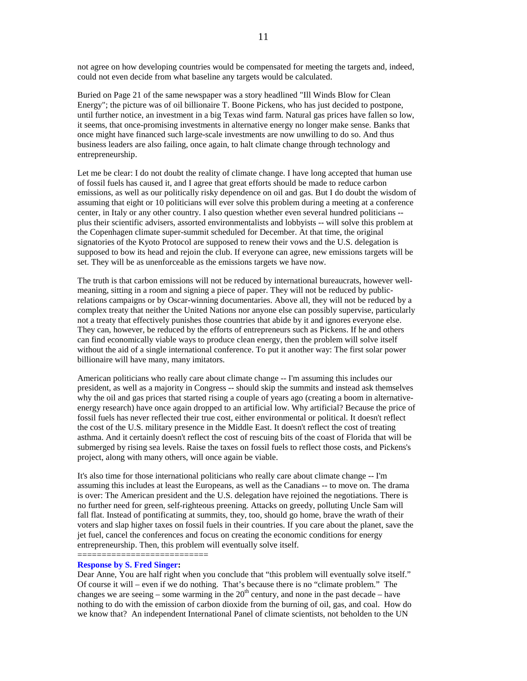not agree on how developing countries would be compensated for meeting the targets and, indeed, could not even decide from what baseline any targets would be calculated.

Buried on Page 21 of the same newspaper was a story headlined "Ill Winds Blow for Clean Energy"; the picture was of oil billionaire T. Boone Pickens, who has just decided to postpone, until further notice, an investment in a big Texas wind farm. Natural gas prices have fallen so low, it seems, that once-promising investments in alternative energy no longer make sense. Banks that once might have financed such large-scale investments are now unwilling to do so. And thus business leaders are also failing, once again, to halt climate change through technology and entrepreneurship.

Let me be clear: I do not doubt the reality of climate change. I have long accepted that human use of fossil fuels has caused it, and I agree that great efforts should be made to reduce carbon emissions, as well as our politically risky dependence on oil and gas. But I do doubt the wisdom of assuming that eight or 10 politicians will ever solve this problem during a meeting at a conference center, in Italy or any other country. I also question whether even several hundred politicians - plus their scientific advisers, assorted environmentalists and lobbyists -- will solve this problem at the Copenhagen climate super-summit scheduled for December. At that time, the original signatories of the Kyoto Protocol are supposed to renew their vows and the U.S. delegation is supposed to bow its head and rejoin the club. If everyone can agree, new emissions targets will be set. They will be as unenforceable as the emissions targets we have now.

The truth is that carbon emissions will not be reduced by international bureaucrats, however wellmeaning, sitting in a room and signing a piece of paper. They will not be reduced by publicrelations campaigns or by Oscar-winning documentaries. Above all, they will not be reduced by a complex treaty that neither the United Nations nor anyone else can possibly supervise, particularly not a treaty that effectively punishes those countries that abide by it and ignores everyone else. They can, however, be reduced by the efforts of entrepreneurs such as Pickens. If he and others can find economically viable ways to produce clean energy, then the problem will solve itself without the aid of a single international conference. To put it another way: The first solar power billionaire will have many, many imitators.

American politicians who really care about climate change -- I'm assuming this includes our president, as well as a majority in Congress -- should skip the summits and instead ask themselves why the oil and gas prices that started rising a couple of years ago (creating a boom in alternativeenergy research) have once again dropped to an artificial low. Why artificial? Because the price of fossil fuels has never reflected their true cost, either environmental or political. It doesn't reflect the cost of the U.S. military presence in the Middle East. It doesn't reflect the cost of treating asthma. And it certainly doesn't reflect the cost of rescuing bits of the coast of Florida that will be submerged by rising sea levels. Raise the taxes on fossil fuels to reflect those costs, and Pickens's project, along with many others, will once again be viable.

It's also time for those international politicians who really care about climate change -- I'm assuming this includes at least the Europeans, as well as the Canadians -- to move on. The drama is over: The American president and the U.S. delegation have rejoined the negotiations. There is no further need for green, self-righteous preening. Attacks on greedy, polluting Uncle Sam will fall flat. Instead of pontificating at summits, they, too, should go home, brave the wrath of their voters and slap higher taxes on fossil fuels in their countries. If you care about the planet, save the jet fuel, cancel the conferences and focus on creating the economic conditions for energy entrepreneurship. Then, this problem will eventually solve itself.

#### **Response by S. Fred Singer:**

===========================

Dear Anne, You are half right when you conclude that "this problem will eventually solve itself." Of course it will – even if we do nothing. That's because there is no "climate problem." The changes we are seeing – some warming in the  $20<sup>th</sup>$  century, and none in the past decade – have nothing to do with the emission of carbon dioxide from the burning of oil, gas, and coal. How do we know that? An independent International Panel of climate scientists, not beholden to the UN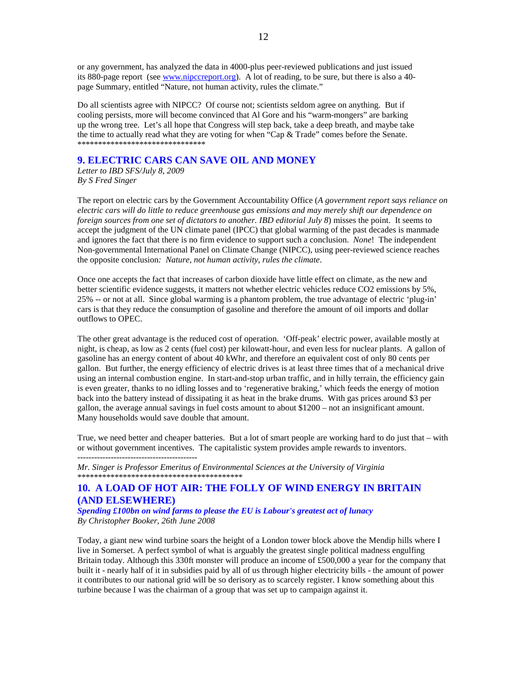or any government, has analyzed the data in 4000-plus peer-reviewed publications and just issued its 880-page report (see www.nipccreport.org). A lot of reading, to be sure, but there is also a 40 page Summary, entitled "Nature, not human activity, rules the climate."

Do all scientists agree with NIPCC? Of course not; scientists seldom agree on anything. But if cooling persists, more will become convinced that Al Gore and his "warm-mongers" are barking up the wrong tree. Let's all hope that Congress will step back, take a deep breath, and maybe take the time to actually read what they are voting for when "Cap & Trade" comes before the Senate. \*\*\*\*\*\*\*\*\*\*\*\*\*\*\*\*\*\*\*\*\*\*\*\*\*\*\*\*\*\*\*

#### **9. ELECTRIC CARS CAN SAVE OIL AND MONEY**

*Letter to IBD SFS/July 8, 2009 By S Fred Singer* 

The report on electric cars by the Government Accountability Office (*A government report says reliance on electric cars will do little to reduce greenhouse gas emissions and may merely shift our dependence on foreign sources from one set of dictators to another. IBD editorial July 8*) misses the point. It seems to accept the judgment of the UN climate panel (IPCC) that global warming of the past decades is manmade and ignores the fact that there is no firm evidence to support such a conclusion. *None*! The independent Non-governmental International Panel on Climate Change (NIPCC), using peer-reviewed science reaches the opposite conclusion*: Nature, not human activity, rules the climate*.

Once one accepts the fact that increases of carbon dioxide have little effect on climate, as the new and better scientific evidence suggests, it matters not whether electric vehicles reduce CO2 emissions by 5%, 25% -- or not at all. Since global warming is a phantom problem, the true advantage of electric 'plug-in' cars is that they reduce the consumption of gasoline and therefore the amount of oil imports and dollar outflows to OPEC.

The other great advantage is the reduced cost of operation. 'Off-peak' electric power, available mostly at night, is cheap, as low as 2 cents (fuel cost) per kilowatt-hour, and even less for nuclear plants. A gallon of gasoline has an energy content of about 40 kWhr, and therefore an equivalent cost of only 80 cents per gallon. But further, the energy efficiency of electric drives is at least three times that of a mechanical drive using an internal combustion engine. In start-and-stop urban traffic, and in hilly terrain, the efficiency gain is even greater, thanks to no idling losses and to 'regenerative braking,' which feeds the energy of motion back into the battery instead of dissipating it as heat in the brake drums. With gas prices around \$3 per gallon, the average annual savings in fuel costs amount to about \$1200 – not an insignificant amount. Many households would save double that amount.

True, we need better and cheaper batteries. But a lot of smart people are working hard to do just that – with or without government incentives. The capitalistic system provides ample rewards to inventors. -------------------------------------------

*Mr. Singer is Professor Emeritus of Environmental Sciences at the University of Virginia*  \*\*\*\*\*\*\*\*\*\*\*\*\*\*\*\*\*\*\*\*\*\*\*\*\*\*\*\*\*\*\*\*\*\*\*\*\*\*\*\*

# **10. A LOAD OF HOT AIR: THE FOLLY OF WIND ENERGY IN BRITAIN (AND ELSEWHERE)**

*Spending £100bn on wind farms to please the EU is Labour's greatest act of lunacy By Christopher Booker, 26th June 2008* 

Today, a giant new wind turbine soars the height of a London tower block above the Mendip hills where I live in Somerset. A perfect symbol of what is arguably the greatest single political madness engulfing Britain today. Although this 330ft monster will produce an income of £500,000 a year for the company that built it - nearly half of it in subsidies paid by all of us through higher electricity bills - the amount of power it contributes to our national grid will be so derisory as to scarcely register. I know something about this turbine because I was the chairman of a group that was set up to campaign against it.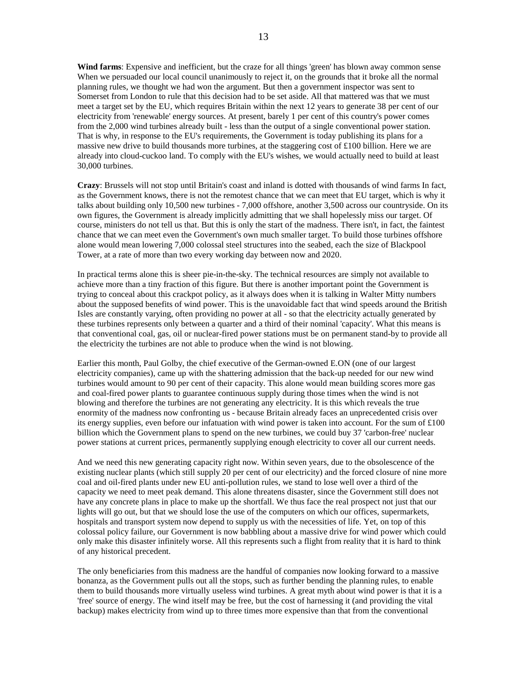**Wind farms**: Expensive and inefficient, but the craze for all things 'green' has blown away common sense When we persuaded our local council unanimously to reject it, on the grounds that it broke all the normal planning rules, we thought we had won the argument. But then a government inspector was sent to Somerset from London to rule that this decision had to be set aside. All that mattered was that we must meet a target set by the EU, which requires Britain within the next 12 years to generate 38 per cent of our electricity from 'renewable' energy sources. At present, barely 1 per cent of this country's power comes from the 2,000 wind turbines already built - less than the output of a single conventional power station. That is why, in response to the EU's requirements, the Government is today publishing its plans for a massive new drive to build thousands more turbines, at the staggering cost of £100 billion. Here we are already into cloud-cuckoo land. To comply with the EU's wishes, we would actually need to build at least 30,000 turbines.

**Crazy**: Brussels will not stop until Britain's coast and inland is dotted with thousands of wind farms In fact, as the Government knows, there is not the remotest chance that we can meet that EU target, which is why it talks about building only 10,500 new turbines - 7,000 offshore, another 3,500 across our countryside. On its own figures, the Government is already implicitly admitting that we shall hopelessly miss our target. Of course, ministers do not tell us that. But this is only the start of the madness. There isn't, in fact, the faintest chance that we can meet even the Government's own much smaller target. To build those turbines offshore alone would mean lowering 7,000 colossal steel structures into the seabed, each the size of Blackpool Tower, at a rate of more than two every working day between now and 2020.

In practical terms alone this is sheer pie-in-the-sky. The technical resources are simply not available to achieve more than a tiny fraction of this figure. But there is another important point the Government is trying to conceal about this crackpot policy, as it always does when it is talking in Walter Mitty numbers about the supposed benefits of wind power. This is the unavoidable fact that wind speeds around the British Isles are constantly varying, often providing no power at all - so that the electricity actually generated by these turbines represents only between a quarter and a third of their nominal 'capacity'. What this means is that conventional coal, gas, oil or nuclear-fired power stations must be on permanent stand-by to provide all the electricity the turbines are not able to produce when the wind is not blowing.

Earlier this month, Paul Golby, the chief executive of the German-owned E.ON (one of our largest electricity companies), came up with the shattering admission that the back-up needed for our new wind turbines would amount to 90 per cent of their capacity. This alone would mean building scores more gas and coal-fired power plants to guarantee continuous supply during those times when the wind is not blowing and therefore the turbines are not generating any electricity. It is this which reveals the true enormity of the madness now confronting us - because Britain already faces an unprecedented crisis over its energy supplies, even before our infatuation with wind power is taken into account. For the sum of £100 billion which the Government plans to spend on the new turbines, we could buy 37 'carbon-free' nuclear power stations at current prices, permanently supplying enough electricity to cover all our current needs.

And we need this new generating capacity right now. Within seven years, due to the obsolescence of the existing nuclear plants (which still supply 20 per cent of our electricity) and the forced closure of nine more coal and oil-fired plants under new EU anti-pollution rules, we stand to lose well over a third of the capacity we need to meet peak demand. This alone threatens disaster, since the Government still does not have any concrete plans in place to make up the shortfall. We thus face the real prospect not just that our lights will go out, but that we should lose the use of the computers on which our offices, supermarkets, hospitals and transport system now depend to supply us with the necessities of life. Yet, on top of this colossal policy failure, our Government is now babbling about a massive drive for wind power which could only make this disaster infinitely worse. All this represents such a flight from reality that it is hard to think of any historical precedent.

The only beneficiaries from this madness are the handful of companies now looking forward to a massive bonanza, as the Government pulls out all the stops, such as further bending the planning rules, to enable them to build thousands more virtually useless wind turbines. A great myth about wind power is that it is a 'free' source of energy. The wind itself may be free, but the cost of harnessing it (and providing the vital backup) makes electricity from wind up to three times more expensive than that from the conventional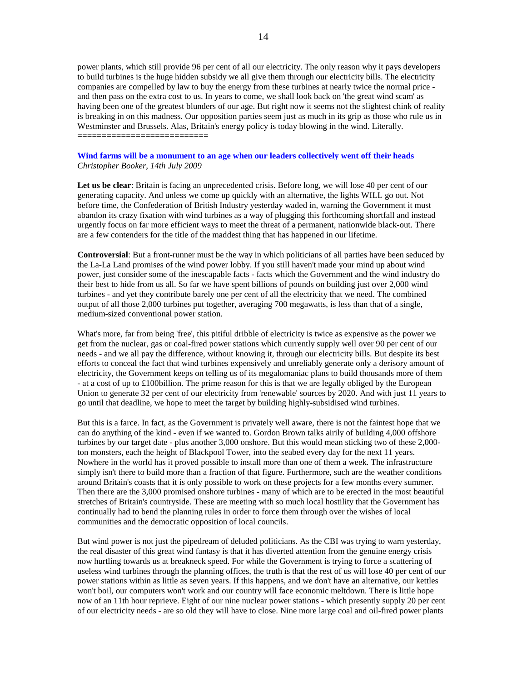power plants, which still provide 96 per cent of all our electricity. The only reason why it pays developers to build turbines is the huge hidden subsidy we all give them through our electricity bills. The electricity companies are compelled by law to buy the energy from these turbines at nearly twice the normal price and then pass on the extra cost to us. In years to come, we shall look back on 'the great wind scam' as having been one of the greatest blunders of our age. But right now it seems not the slightest chink of reality is breaking in on this madness. Our opposition parties seem just as much in its grip as those who rule us in Westminster and Brussels. Alas, Britain's energy policy is today blowing in the wind. Literally. ===========================

#### **Wind farms will be a monument to an age when our leaders collectively went off their heads**  *Christopher Booker, 14th July 2009*

Let us be clear: Britain is facing an unprecedented crisis. Before long, we will lose 40 per cent of our generating capacity. And unless we come up quickly with an alternative, the lights WILL go out. Not before time, the Confederation of British Industry yesterday waded in, warning the Government it must abandon its crazy fixation with wind turbines as a way of plugging this forthcoming shortfall and instead urgently focus on far more efficient ways to meet the threat of a permanent, nationwide black-out. There are a few contenders for the title of the maddest thing that has happened in our lifetime.

**Controversial**: But a front-runner must be the way in which politicians of all parties have been seduced by the La-La Land promises of the wind power lobby. If you still haven't made your mind up about wind power, just consider some of the inescapable facts - facts which the Government and the wind industry do their best to hide from us all. So far we have spent billions of pounds on building just over 2,000 wind turbines - and yet they contribute barely one per cent of all the electricity that we need. The combined output of all those 2,000 turbines put together, averaging 700 megawatts, is less than that of a single, medium-sized conventional power station.

What's more, far from being 'free', this pitiful dribble of electricity is twice as expensive as the power we get from the nuclear, gas or coal-fired power stations which currently supply well over 90 per cent of our needs - and we all pay the difference, without knowing it, through our electricity bills. But despite its best efforts to conceal the fact that wind turbines expensively and unreliably generate only a derisory amount of electricity, the Government keeps on telling us of its megalomaniac plans to build thousands more of them - at a cost of up to £100billion. The prime reason for this is that we are legally obliged by the European Union to generate 32 per cent of our electricity from 'renewable' sources by 2020. And with just 11 years to go until that deadline, we hope to meet the target by building highly-subsidised wind turbines.

But this is a farce. In fact, as the Government is privately well aware, there is not the faintest hope that we can do anything of the kind - even if we wanted to. Gordon Brown talks airily of building 4,000 offshore turbines by our target date - plus another 3,000 onshore. But this would mean sticking two of these 2,000 ton monsters, each the height of Blackpool Tower, into the seabed every day for the next 11 years. Nowhere in the world has it proved possible to install more than one of them a week. The infrastructure simply isn't there to build more than a fraction of that figure. Furthermore, such are the weather conditions around Britain's coasts that it is only possible to work on these projects for a few months every summer. Then there are the 3,000 promised onshore turbines - many of which are to be erected in the most beautiful stretches of Britain's countryside. These are meeting with so much local hostility that the Government has continually had to bend the planning rules in order to force them through over the wishes of local communities and the democratic opposition of local councils.

But wind power is not just the pipedream of deluded politicians. As the CBI was trying to warn yesterday, the real disaster of this great wind fantasy is that it has diverted attention from the genuine energy crisis now hurtling towards us at breakneck speed. For while the Government is trying to force a scattering of useless wind turbines through the planning offices, the truth is that the rest of us will lose 40 per cent of our power stations within as little as seven years. If this happens, and we don't have an alternative, our kettles won't boil, our computers won't work and our country will face economic meltdown. There is little hope now of an 11th hour reprieve. Eight of our nine nuclear power stations - which presently supply 20 per cent of our electricity needs - are so old they will have to close. Nine more large coal and oil-fired power plants